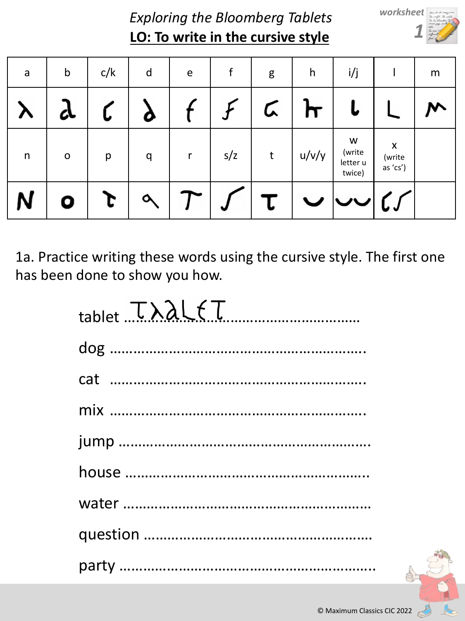**LO: To write in the cursive style** *Exploring the Bloomberg Tablets* *worksheet 1*

| a            | $\mathsf b$ | c/k | d | $\mathsf e$ |     | g | h     | i/j                               |                                      | m |
|--------------|-------------|-----|---|-------------|-----|---|-------|-----------------------------------|--------------------------------------|---|
|              | CL          |     |   |             |     |   |       |                                   |                                      | ↜ |
| $\mathsf{n}$ | $\mathsf O$ | р   | q | r           | s/z | t | u/v/y | W<br>(write<br>letter u<br>twice) | $\pmb{\times}$<br>(write<br>as 'cs') |   |
|              | 0           |     |   |             | J   | L |       |                                   | しょ                                   |   |

1a. Practice writing these words using the cursive style. The first one has been done to show you how.

| $table t. \tTABLEET$ |
|----------------------|
|                      |
|                      |
|                      |
|                      |
|                      |
|                      |
|                      |
|                      |

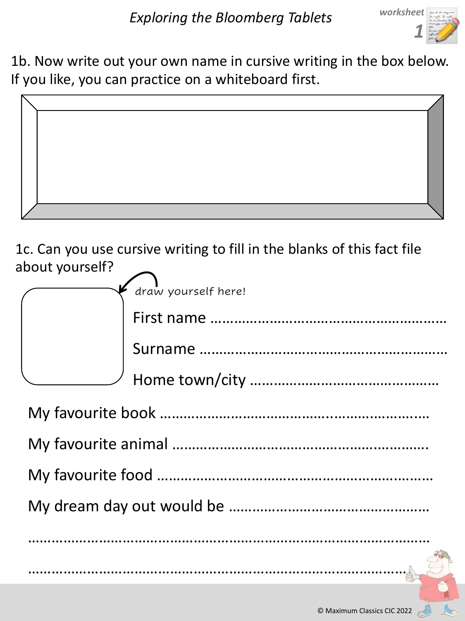

1b. Now write out your own name in cursive writing in the box below. If you like, you can practice on a whiteboard first.



1c. Can you use cursive writing to fill in the blanks of this fact file about yourself?

|  | draw yourself here! |  |  |  |
|--|---------------------|--|--|--|
|  |                     |  |  |  |
|  |                     |  |  |  |
|  |                     |  |  |  |
|  |                     |  |  |  |
|  |                     |  |  |  |
|  |                     |  |  |  |
|  |                     |  |  |  |
|  |                     |  |  |  |
|  |                     |  |  |  |
|  |                     |  |  |  |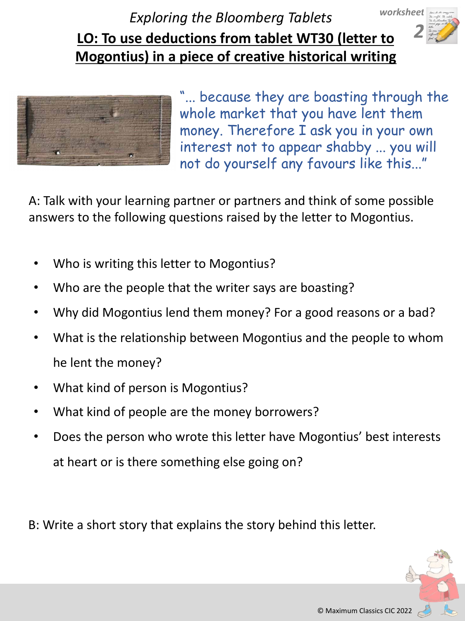**LO: To use deductions from tablet WT30 (letter to Mogontius) in a piece of creative historical writing** *Exploring the Bloomberg Tablets worksheet* 



"... because they are boasting through the whole market that you have lent them money. Therefore I ask you in your own interest not to appear shabby ... you will not do yourself any favours like this..."

A: Talk with your learning partner or partners and think of some possible answers to the following questions raised by the letter to Mogontius.

- Who is writing this letter to Mogontius?
- Who are the people that the writer says are boasting?
- Why did Mogontius lend them money? For a good reasons or a bad?
- What is the relationship between Mogontius and the people to whom he lent the money?
- What kind of person is Mogontius?
- What kind of people are the money borrowers?
- Does the person who wrote this letter have Mogontius' best interests at heart or is there something else going on?

B: Write a short story that explains the story behind this letter.



*2*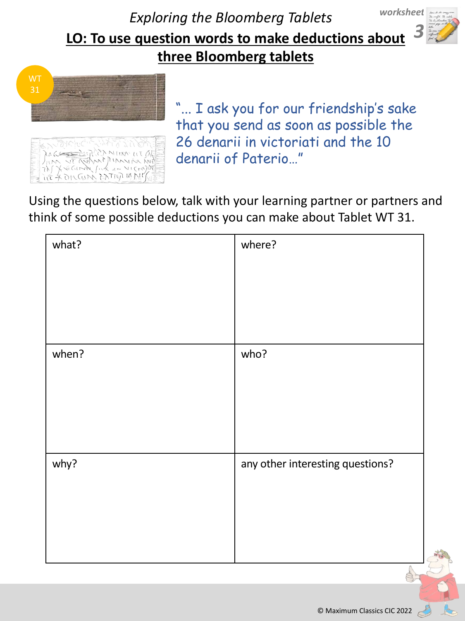**LO: To use question words to make deductions about**  *3* **three Bloomberg tablets** *Exploring the Bloomberg Tablets worksheet* 



近天の代码 入石の小な

"... I ask you for our friendship's sake that you send as soon as possible the 26 denarii in victoriati and the 10 denarii of Paterio…"

Using the questions below, talk with your learning partner or partners and think of some possible deductions you can make about Tablet WT 31.

| what? | where?                                          |
|-------|-------------------------------------------------|
|       |                                                 |
| when? | who?                                            |
| why?  | any other interesting questions?<br>$\triangle$ |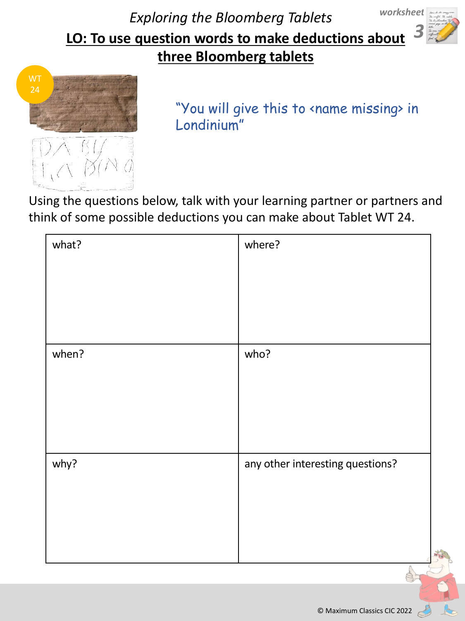**LO: To use question words to make deductions about**  *3* **three Bloomberg tablets** *Exploring the Bloomberg Tablets worksheet* 



"You will give this to <name missing> in Londinium"

Using the questions below, talk with your learning partner or partners and think of some possible deductions you can make about Tablet WT 24.

| what? | where?                           |
|-------|----------------------------------|
|       |                                  |
|       |                                  |
| when? | who?                             |
|       |                                  |
|       |                                  |
| why?  | any other interesting questions? |
|       |                                  |
|       |                                  |
|       |                                  |

© Maximum Classics CIC 2022

 $\mathbb{Z}$